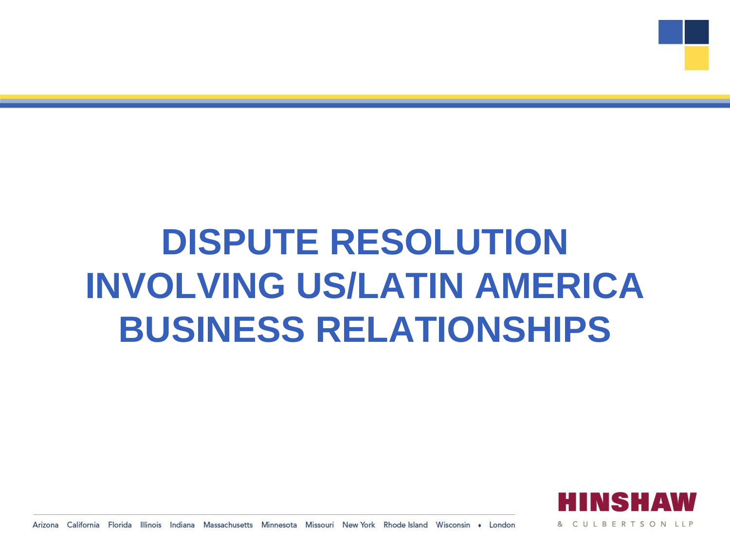## **DISPUTE RESOLUTION INVOLVING US/LATIN AMERICA BUSINESS RELATIONSHIPS**



Arizona California Florida Illinois Indiana Massachusetts Minnesota Missouri New York Rhode Island Wisconsin • London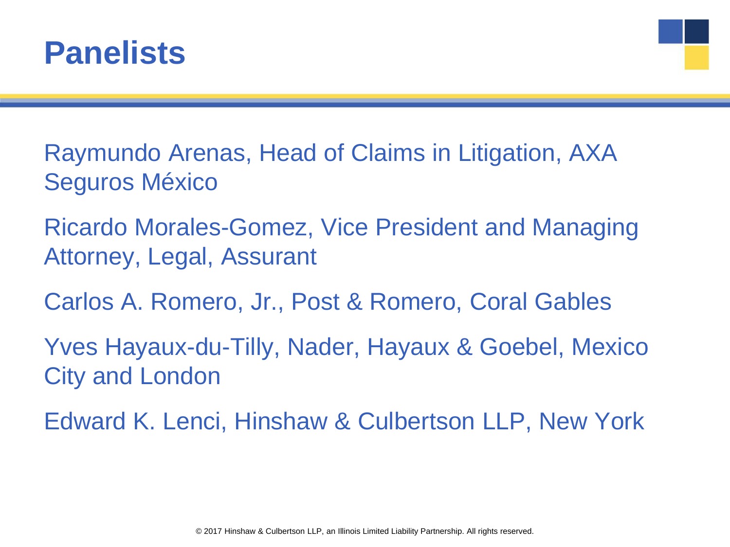

Raymundo Arenas, Head of Claims in Litigation, AXA Seguros México

Ricardo Morales-Gomez, Vice President and Managing Attorney, Legal, Assurant

Carlos A. Romero, Jr., Post & Romero, Coral Gables

Yves Hayaux-du-Tilly, Nader, Hayaux & Goebel, Mexico City and London

Edward K. Lenci, Hinshaw & Culbertson LLP, New York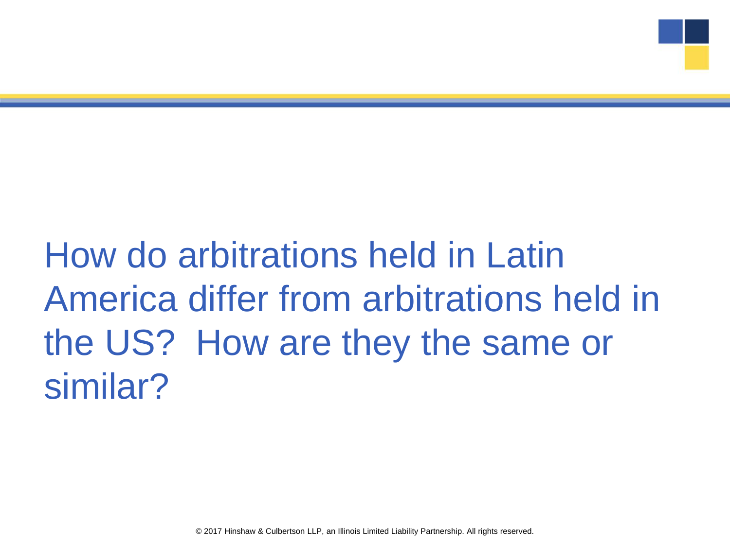## How do arbitrations held in Latin America differ from arbitrations held in the US? How are they the same or similar?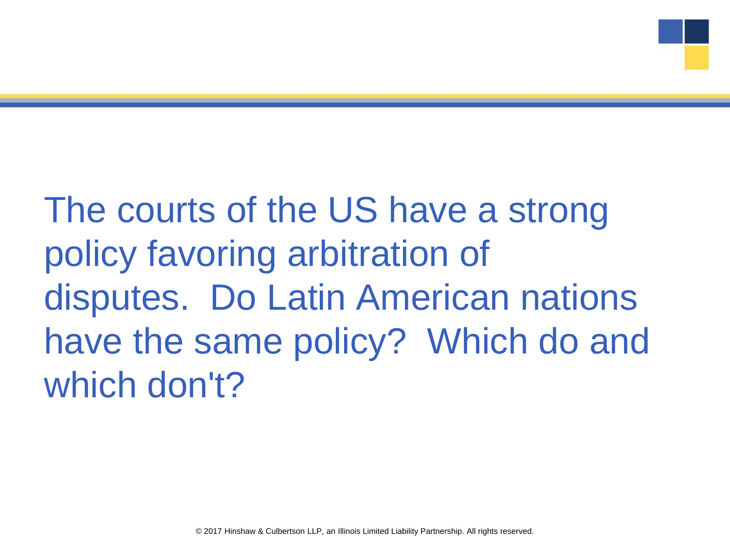The courts of the US have a strong policy favoring arbitration of disputes. Do Latin American nations have the same policy? Which do and which don't?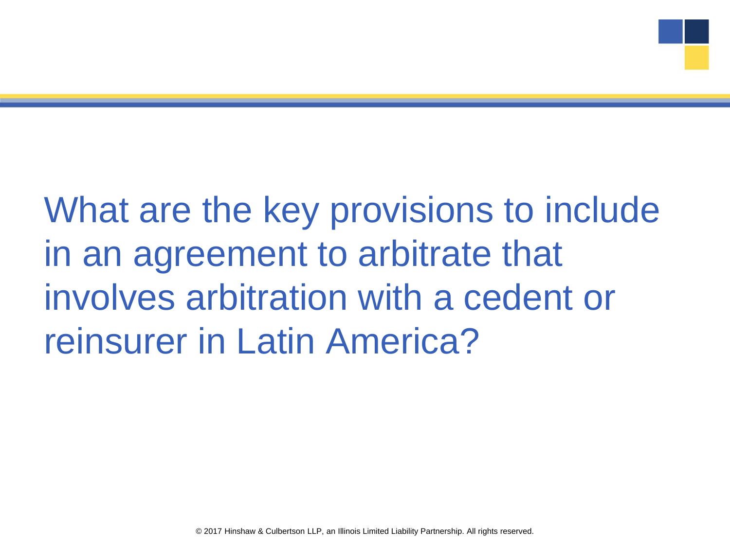What are the key provisions to include in an agreement to arbitrate that involves arbitration with a cedent or reinsurer in Latin America?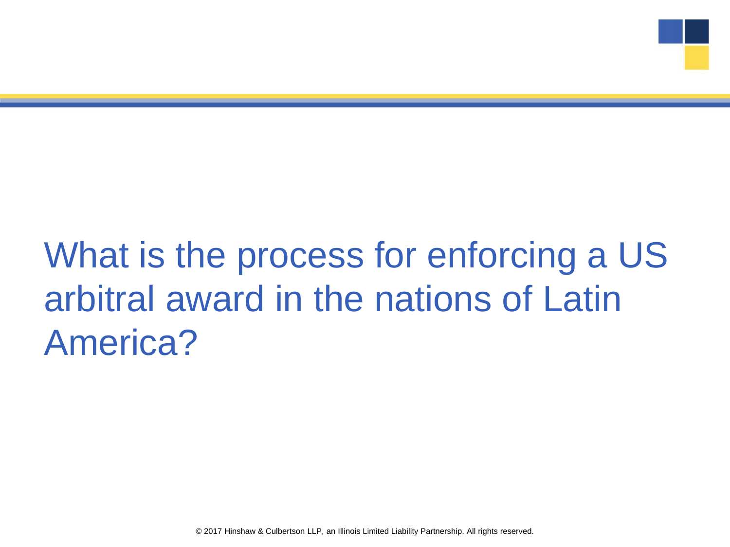## What is the process for enforcing a US arbitral award in the nations of Latin America?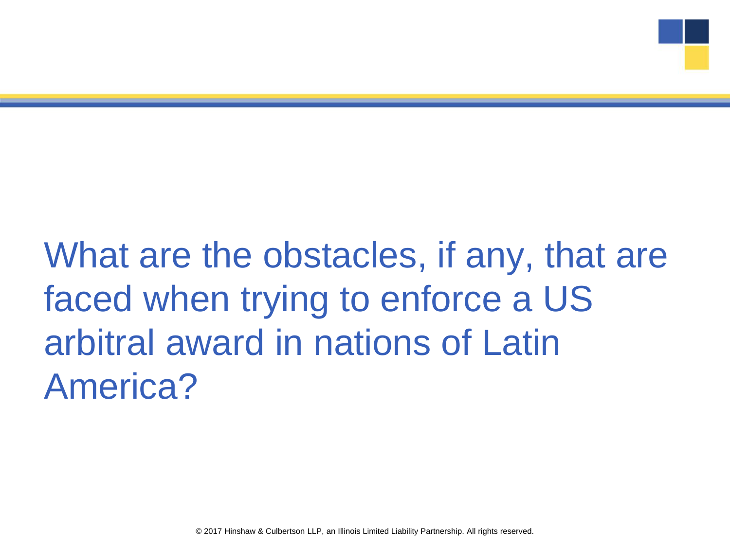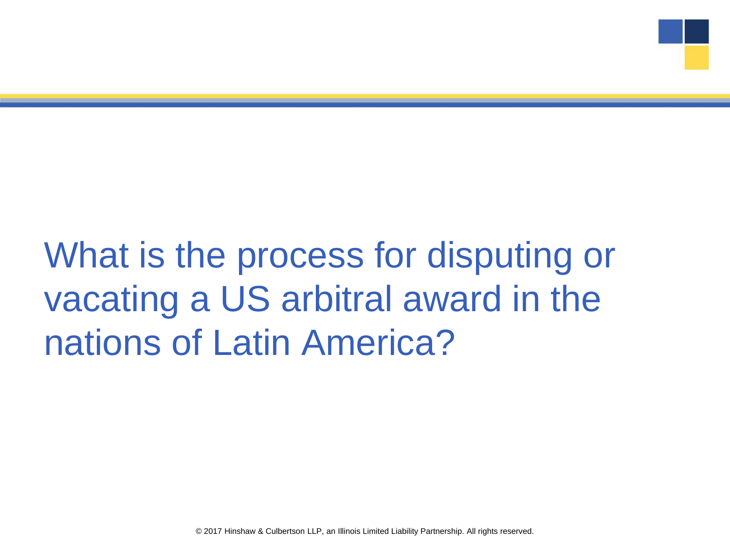## What is the process for disputing or vacating a US arbitral award in the nations of Latin America?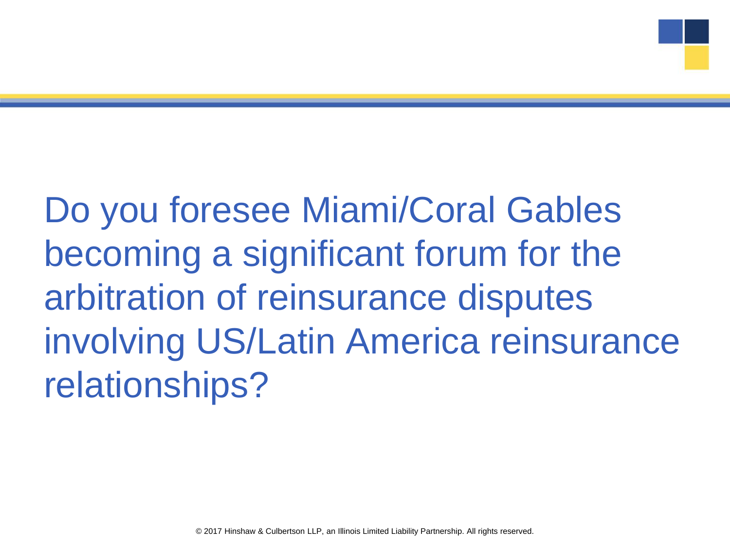Do you foresee Miami/Coral Gables becoming a significant forum for the arbitration of reinsurance disputes involving US/Latin America reinsurance relationships?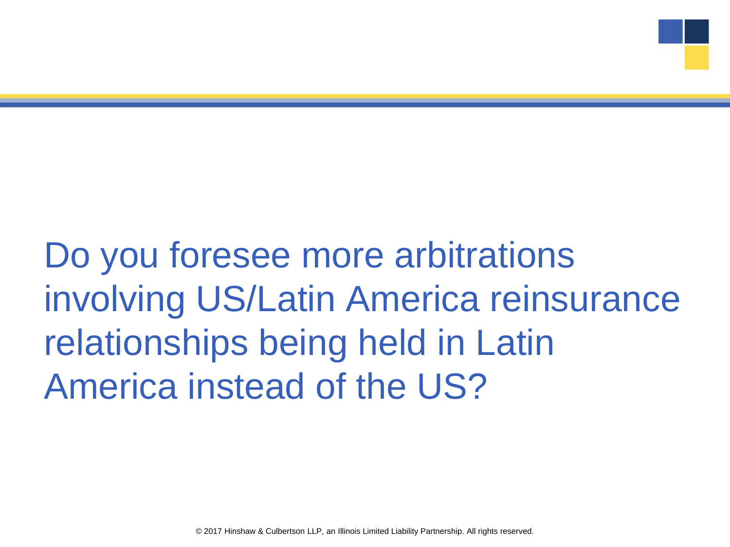Do you foresee more arbitrations involving US/Latin America reinsurance relationships being held in Latin America instead of the US?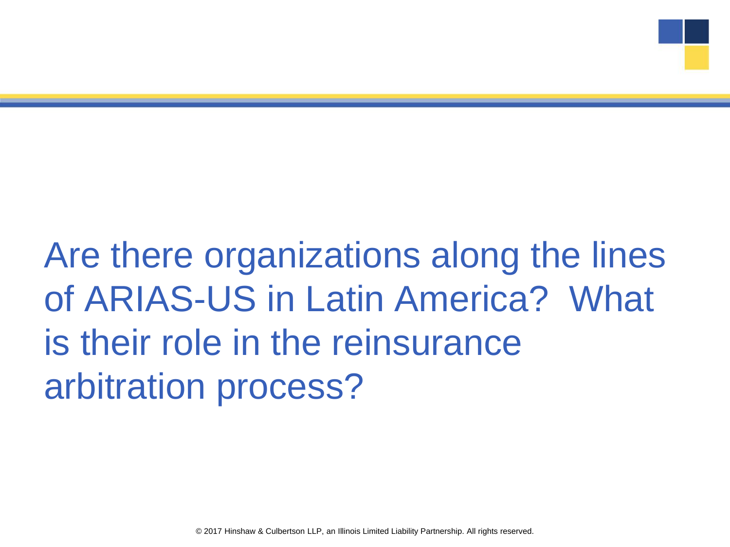Are there organizations along the lines of ARIAS-US in Latin America? What is their role in the reinsurance arbitration process?